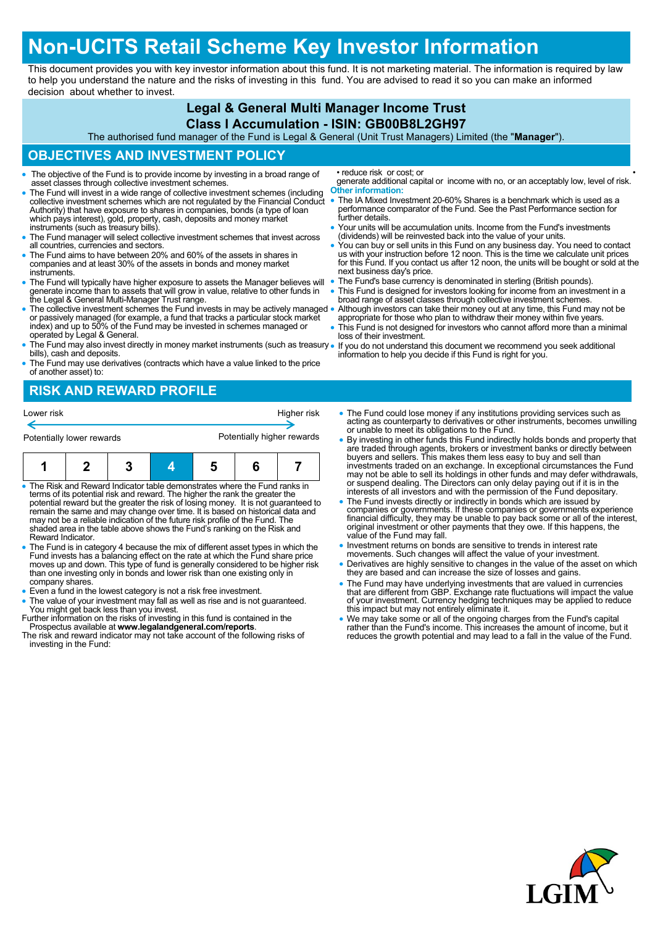# **Non-UCITS Retail Scheme Key Investor Information**

This document provides you with key investor information about this fund. It is not marketing material. The information is required by law to help you understand the nature and the risks of investing in this fund. You are advised to read it so you can make an informed decision about whether to invest.

#### **Legal & General Multi Manager Income Trust**

#### **Class I Accumulation - ISIN: GB00B8L2GH97**

The authorised fund manager of the Fund is Legal & General (Unit Trust Managers) Limited (the "**Manager**").

#### **OBJECTIVES AND INVESTMENT POLICY**

- The objective of the Fund is to provide income by investing in a broad range of asset classes through collective investment schemes.
- The Fund will invest in a wide range of collective investment schemes (including collective investment schemes which are not regulated by the Financial Conduct Authority) that have exposure to shares in companies, bonds (a type of loan which pays interest), gold, property, cash, deposits and money market instruments (such as treasury bills).
- The Fund manager will select collective investment schemes that invest across all countries, currencies and sectors.
- The Fund aims to have between 20% and 60% of the assets in shares in companies and at least 30% of the assets in bonds and money market instruments.
- The Fund will typically have higher exposure to assets the Manager believes will generate income than to assets that will grow in value, relative to other funds in the Legal & General Multi-Manager Trust range.
- The collective investment schemes the Fund invests in may be actively managed or passively managed (for example, a fund that tracks a particular stock market index) and up to 50% of the Fund may be invested in schemes managed or operated by Legal & General.
- The Fund may also invest directly in money market instruments (such as treasury . bills), cash and deposits.
- The Fund may use derivatives (contracts which have a value linked to the price of another asset) to:

## **RISK AND REWARD PROFILE**

| Lower risk                | Higher risk                |
|---------------------------|----------------------------|
|                           |                            |
| Potentially lower rewards | Potentially higher rewards |

- The Risk and Reward Indicator table demonstrates where the Fund ranks in terms of its potential risk and reward. The higher the rank the greater the potential reward but the greater the risk of losing money. It is not guaranteed to remain the same and may change over time. It is based on historical data and may not be a reliable indication of the future risk profile of the Fund. The shaded area in the table above shows the Fund's ranking on the Risk and Reward Indicator.
- The Fund is in category 4 because the mix of different asset types in which the Fund invests has a balancing effect on the rate at which the Fund share price moves up and down. This type of fund is generally considered to be higher risk than one investing only in bonds and lower risk than one existing only in company shares.
- Even a fund in the lowest category is not a risk free investment.
- The value of your investment may fall as well as rise and is not guaranteed. You might get back less than you invest.
- Further information on the risks of investing in this fund is contained in the Prospectus available at **www.legalandgeneral.com/reports**. The risk and reward indicator may not take account of the following risks of
- investing in the Fund:

• reduce risk or cost; or

generate additional capital or income with no, or an acceptably low, level of risk. **Other information:**

- The IA Mixed Investment 20-60% Shares is a benchmark which is used as a performance comparator of the Fund. See the Past Performance section for further details.
- Your units will be accumulation units. Income from the Fund's investments (dividends) will be reinvested back into the value of your units.
- You can buy or sell units in this Fund on any business day. You need to contact<br>us with your instruction before 12 noon. This is the time we calculate unit prices<br>for this Fund. If you contact us after 12 noon, the units next business day's price.
- The Fund's base currency is denominated in sterling (British pounds).
- This Fund is designed for investors looking for income from an investment in a broad range of asset classes through collective investment schemes.
- Although investors can take their money out at any time, this Fund may not be appropriate for those who plan to withdraw their money within five years. This Fund is not designed for investors who cannot afford more than a minimal
- loss of their investment. If you do not understand this document we recommend you seek additional information to help you decide if this Fund is right for you.
- The Fund could lose money if any institutions providing services such as acting as counterparty to derivatives or other instruments, becomes unwilling or unable to meet its obligations to the Fund.
- By investing in other funds this Fund indirectly holds bonds and property that are traded through agents, brokers or investment banks or directly between buyers and sellers. This makes them less easy to buy and sell than investments traded on an exchange. In exceptional circumstances the Fund may not be able to sell its holdings in other funds and may defer withdrawals, or suspend dealing. The Directors can only delay paying out if it is in the interests of all investors and with the permission of the Fund depositary.
- The Fund invests directly or indirectly in bonds which are issued by<br>companies or governments. If these companies or governments experience<br>financial difficulty, they may be unable to pay back some or all of the interest value of the Fund may fall.
- Investment returns on bonds are sensitive to trends in interest rate movements. Such changes will affect the value of your investment.
- Derivatives are highly sensitive to changes in the value of the asset on which they are based and can increase the size of losses and gains.
- The Fund may have underlying investments that are valued in currencies that are different from GBP. Exchange rate fluctuations will impact the value of your investment. Currency hedging techniques may be applied to reduce this impact but may not entirely eliminate it.
- We may take some or all of the ongoing charges from the Fund's capital<br>rather than the Fund's income. This increases the amount of income, but it<br>reduces the growth potential and may lead to a fall in the value of the Fu